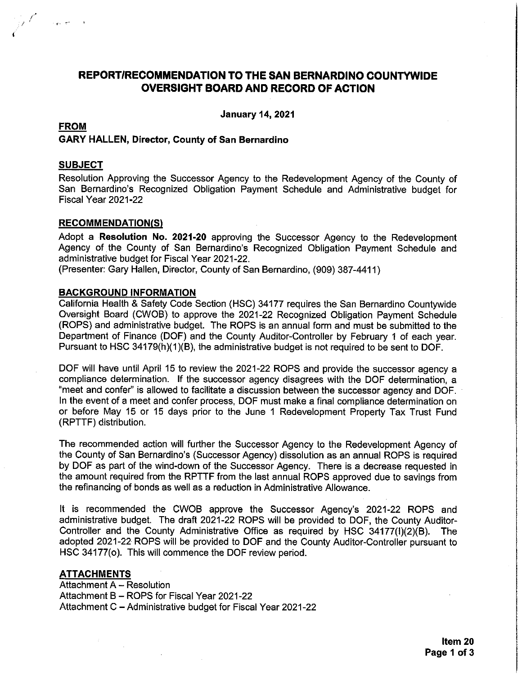# REPORT/RECOMMENDATION TO THE SAN BERNARDINO COUNTYWIDE **OVERSIGHT BOARD AND RECORD OF ACTION**

**January 14, 2021** 

## **FROM** GARY HALLEN, Director, County of San Bernardino

#### **SUBJECT**

 $\sim 10^{10}$  eV

Resolution Approving the Successor Agency to the Redevelopment Agency of the County of San Bernardino's Recognized Obligation Payment Schedule and Administrative budget for Fiscal Year 2021-22

#### **RECOMMENDATION(S)**

Adopt a Resolution No. 2021-20 approving the Successor Agency to the Redevelopment Agency of the County of San Bernardino's Recognized Obligation Payment Schedule and administrative budget for Fiscal Year 2021-22.

(Presenter: Gary Hallen, Director, County of San Bernardino, (909) 387-4411)

#### **BACKGROUND INFORMATION**

California Health & Safety Code Section (HSC) 34177 requires the San Bernardino Countywide Oversight Board (CWOB) to approve the 2021-22 Recognized Obligation Payment Schedule (ROPS) and administrative budget. The ROPS is an annual form and must be submitted to the Department of Finance (DOF) and the County Auditor-Controller by February 1 of each year. Pursuant to HSC 34179(h)(1)(B), the administrative budget is not required to be sent to DOF.

DOF will have until April 15 to review the 2021-22 ROPS and provide the successor agency a compliance determination. If the successor agency disagrees with the DOF determination, a "meet and confer" is allowed to facilitate a discussion between the successor agency and DOF. In the event of a meet and confer process, DOF must make a final compliance determination on or before May 15 or 15 days prior to the June 1 Redevelopment Property Tax Trust Fund (RPTTF) distribution.

The recommended action will further the Successor Agency to the Redevelopment Agency of the County of San Bernardino's (Successor Agency) dissolution as an annual ROPS is required by DOF as part of the wind-down of the Successor Agency. There is a decrease requested in the amount required from the RPTTF from the last annual ROPS approved due to savings from the refinancing of bonds as well as a reduction in Administrative Allowance.

It is recommended the CWOB approve the Successor Agency's 2021-22 ROPS and administrative budget. The draft 2021-22 ROPS will be provided to DOF, the County Auditor-Controller and the County Administrative Office as required by HSC 34177(1)(2)(B). The adopted 2021-22 ROPS will be provided to DOF and the County Auditor-Controller pursuant to HSC 34177(o). This will commence the DOF review period.

#### **ATTACHMENTS**

Attachment A - Resolution Attachment B - ROPS for Fiscal Year 2021-22 Attachment C - Administrative budget for Fiscal Year 2021-22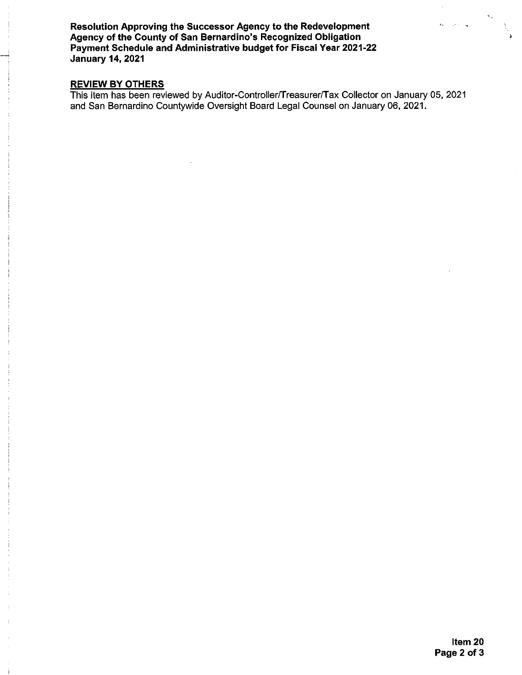Resolution Approving the Successor Agency to the Redevelopment Agency of the County of San Bernardino's Recognized Obligation Payment Schedule and Administrative budget for Fiscal Year 2021-22 **January 14, 2021** 

REVIEW BY OTHERS<br>This item has been reviewed by Auditor-Controller/Treasurer/Tax Collector on January 05, 2021 and San Bernardino Countywide Oversight Board Legal Counsel on January 06, 2021.

 $\langle \omega \rangle$  ,  $\langle \omega$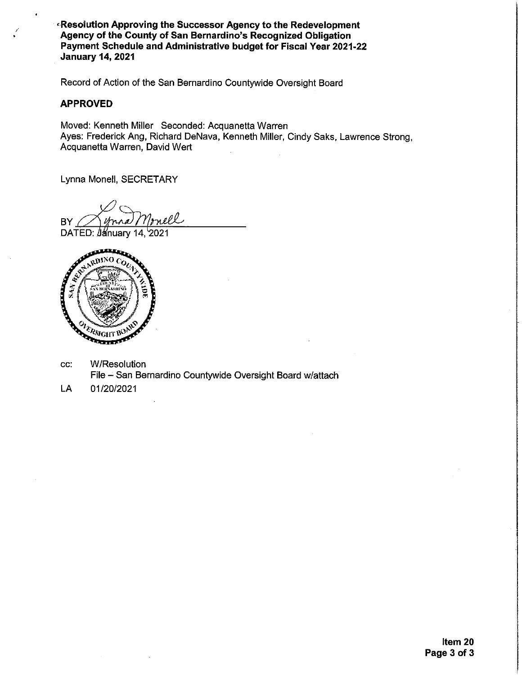**Resolution Approving the Successor Agency to the Redevelopment** Agency of the County of San Bernardino's Recognized Obligation Payment Schedule and Administrative budget for Fiscal Year 2021-22 **January 14, 2021** 

Record of Action of the San Bernardino Countywide Oversight Board

#### **APPROVED**

Moved: Kenneth Miller Seconded: Acquanetta Warren Ayes: Frederick Ang, Richard DeNava, Kenneth Miller, Cindy Saks, Lawrence Strong, Acquanetta Warren, David Wert

Lynna Monell, SECRETARY

nell BY

DATED: January 14, 2021



- CC. **W/Resolution** File - San Bernardino Countywide Oversight Board w/attach
- LA 01/20/2021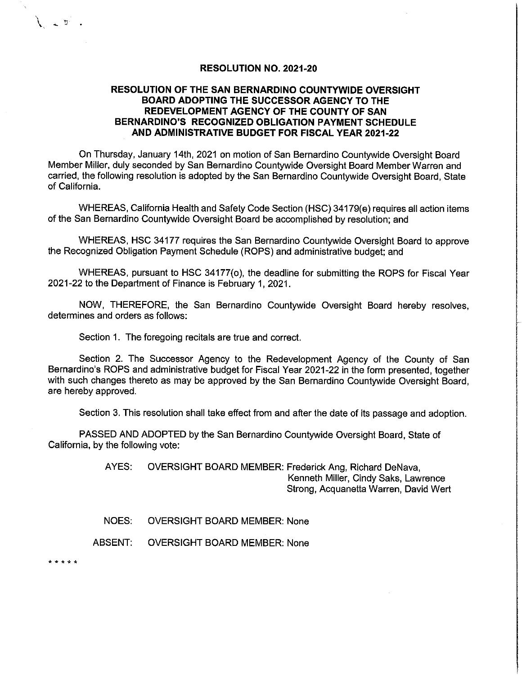#### **RESOLUTION NO. 2021-20**

### **RESOLUTION OF THE SAN BERNARDINO COUNTYWIDE OVERSIGHT** BOARD ADOPTING THE SUCCESSOR AGENCY TO THE REDEVELOPMENT AGENCY OF THE COUNTY OF SAN BERNARDINO'S RECOGNIZED OBLIGATION PAYMENT SCHEDULE AND ADMINISTRATIVE BUDGET FOR FISCAL YEAR 2021-22

On Thursday, January 14th, 2021 on motion of San Bernardino Countywide Oversight Board Member Miller, duly seconded by San Bernardino Countywide Oversight Board Member Warren and carried, the following resolution is adopted by the San Bernardino Countywide Oversight Board, State of California.

WHEREAS, California Health and Safety Code Section (HSC) 34179(e) requires all action items of the San Bernardino Countywide Oversight Board be accomplished by resolution; and

WHEREAS, HSC 34177 requires the San Bernardino Countywide Oversight Board to approve the Recognized Obligation Payment Schedule (ROPS) and administrative budget; and

WHEREAS, pursuant to HSC 34177(o), the deadline for submitting the ROPS for Fiscal Year 2021-22 to the Department of Finance is February 1, 2021.

NOW, THEREFORE, the San Bernardino Countywide Oversight Board hereby resolves, determines and orders as follows:

Section 1. The foregoing recitals are true and correct.

Section 2. The Successor Agency to the Redevelopment Agency of the County of San Bernardino's ROPS and administrative budget for Fiscal Year 2021-22 in the form presented, together with such changes thereto as may be approved by the San Bernardino Countywide Oversight Board, are hereby approved.

Section 3. This resolution shall take effect from and after the date of its passage and adoption.

PASSED AND ADOPTED by the San Bernardino Countywide Oversight Board, State of California, by the following vote:

> AYES: OVERSIGHT BOARD MEMBER: Frederick Ang, Richard DeNava, Kenneth Miller, Cindy Saks, Lawrence Strong, Acquanetta Warren, David Wert

NOES: **OVERSIGHT BOARD MEMBER: None** 

ABSENT: **OVERSIGHT BOARD MEMBER: None** 

\* \* \* \* \*

 $\sum_{i=1}^{n}$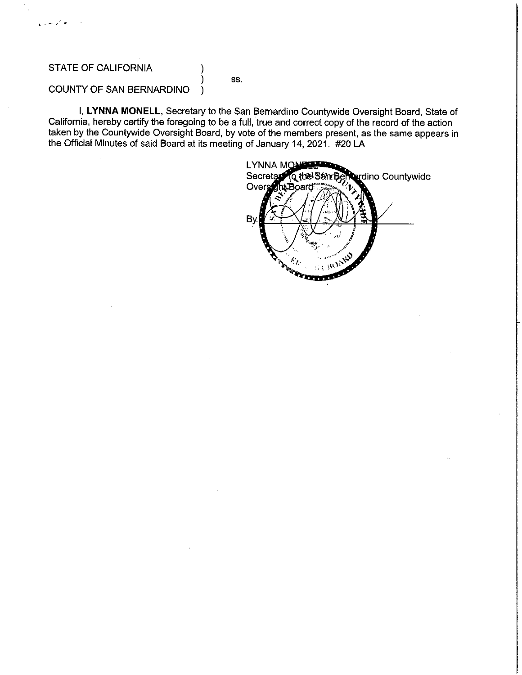## STATE OF CALIFORNIA

أتوا سيتها

#### SS.

# **COUNTY OF SAN BERNARDINO**

I, LYNNA MONELL, Secretary to the San Bernardino Countywide Oversight Board, State of California, hereby certify the foregoing to be a full, true and correct copy of the record of the action taken by the Countywide Oversight Board, by vote of the members present, as the same appears in the Official Minutes of said Board at its meeting of January 14, 2021. #20 LA

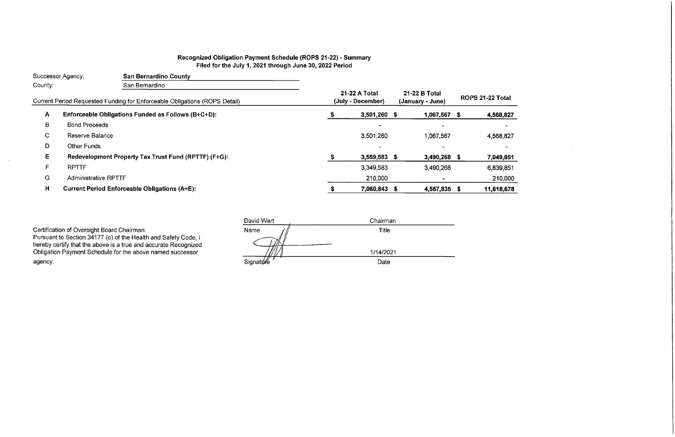# Recognized Obligation Payment Schedule (ROPS 21-22) - Summary Filed for the July 1, 2021 through June 30, 2022 Period

| Successor Agency:<br><b>San Bernardino County</b>                                                       |                             |                                                      |                                   |                   |              |  |      |
|---------------------------------------------------------------------------------------------------------|-----------------------------|------------------------------------------------------|-----------------------------------|-------------------|--------------|--|------|
| County:<br>San Bernardino<br>Current Period Requested Funding for Enforceable Obligations (ROPS Detail) |                             |                                                      |                                   |                   |              |  |      |
|                                                                                                         |                             | 21-22 A Total<br>(July - December)                   | 21-22 B Total<br>(January - June) | <b>ROPS 21-22</b> |              |  |      |
| A                                                                                                       |                             | Enforceable Obligations Funded as Follows (B+C+D):   |                                   | 3,501,260 \$      | 1,067,567 \$ |  | 4,5  |
| В                                                                                                       | <b>Bond Proceeds</b>        |                                                      |                                   |                   |              |  |      |
| C                                                                                                       | Reserve Balance             |                                                      |                                   | 3.501,260         | 1.067,567    |  | 4,5  |
| D                                                                                                       | <b>Other Funds</b>          |                                                      |                                   |                   |              |  |      |
| E.                                                                                                      |                             | Redevelopment Property Tax Trust Fund (RPTTF) (F+G): |                                   | 3,559,583 \$      | 3,490,268 \$ |  | 7,0  |
| F                                                                                                       | <b>RPTTF</b>                |                                                      |                                   | 3.349,583         | 3,490,268    |  | 6,8  |
| G                                                                                                       | <b>Administrative RPTTF</b> |                                                      |                                   | 210,000           |              |  |      |
| H                                                                                                       |                             | <b>Current Period Enforceable Obligations (A+E):</b> |                                   | 7,060,843 \$      | 4,557,835 \$ |  | 11,6 |
|                                                                                                         |                             |                                                      |                                   |                   |              |  |      |

Certification of Oversight Board Chairman:<br>Pursuant to Section 34177 (o) of the Health and Safety Code, I<br>hereby certify that the above is a true and accurate Recognized<br>Obligation Payment Schedule for the above named succ agency.

| David Wert         | Chairman  |
|--------------------|-----------|
| Name               | Title     |
|                    |           |
|                    | 1/14/2021 |
| Signat <i>ut</i> é | Date      |

# Total  $\mathcal{L}^{\text{max}}_{\text{max}}$ 568,827 الرابط 568,827  $\sim$ 049,851

839,851 210,000 618,678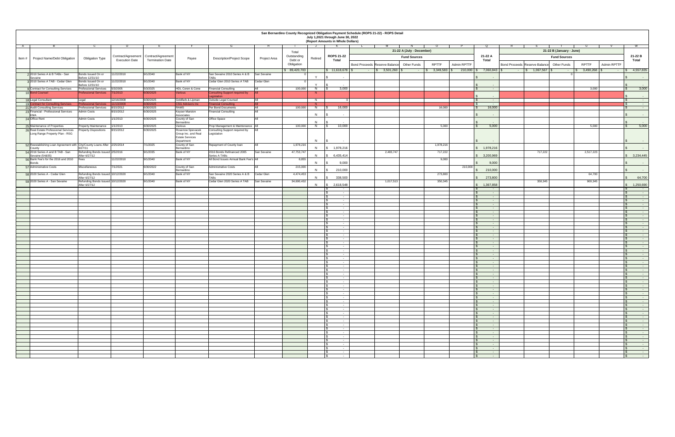| San Bernardino County Recognized Obligation Payment Schedule (ROPS 21-22) - ROPS Detail<br>July 1,2021 through June 30, 2022<br>(Report Amounts in Whole Dollars) |                                                                         |                                                    |                        |                                         |                                                             |                                                   |              |                                                                 |         |                                                                             |                                            |              |                    |                                                        |                                                |                          |                         |             |                                                               |
|-------------------------------------------------------------------------------------------------------------------------------------------------------------------|-------------------------------------------------------------------------|----------------------------------------------------|------------------------|-----------------------------------------|-------------------------------------------------------------|---------------------------------------------------|--------------|-----------------------------------------------------------------|---------|-----------------------------------------------------------------------------|--------------------------------------------|--------------|--------------------|--------------------------------------------------------|------------------------------------------------|--------------------------|-------------------------|-------------|---------------------------------------------------------------|
| <b>A</b>                                                                                                                                                          |                                                                         |                                                    |                        |                                         |                                                             |                                                   |              |                                                                 | ل -     |                                                                             |                                            |              |                    |                                                        |                                                |                          |                         |             |                                                               |
|                                                                                                                                                                   |                                                                         |                                                    |                        |                                         |                                                             |                                                   |              | Total                                                           |         |                                                                             | 21-22 A (July - December)                  |              |                    |                                                        |                                                | 21-22 B (January - June) |                         |             |                                                               |
|                                                                                                                                                                   | Item #   Project Name/Debt Obligation                                   | <b>Obligation Type</b>                             |                        | Contract/Agreement   Contract/Agreement | Payee                                                       | <b>Description/Project Scope</b>                  | Project Area | Outstanding                                                     | Retired | <b>ROPS 21-22</b>                                                           | <b>Fund Sources</b>                        |              |                    | 21-22 A                                                |                                                | <b>Fund Sources</b>      |                         |             | 21-22 B                                                       |
|                                                                                                                                                                   |                                                                         |                                                    | <b>Execution Date</b>  | <b>Termination Date</b>                 |                                                             |                                                   |              | Debt or<br>Obligation                                           |         | <b>Total</b>                                                                | Bond Proceeds Reserve Balance Other Funds  | <b>RPTTF</b> | <b>Admin RPTTF</b> | <b>Total</b>                                           | <b>Bond Proceeds Reserve Balance</b>           | <b>Other Funds</b>       | <b>RPTTF</b>            | Admin RPTTF | <b>Total</b>                                                  |
|                                                                                                                                                                   | 22010 Series A & B TABs - San                                           | Bonds Issued On or                                 | 1/22/2010              | 9/1/2040                                | Bank of NY                                                  | San Sevaine 2010 Series A & B San Sevaine         |              | $\begin{array}{ c c c c c } \hline \$ & 89,420,703 \end{array}$ |         | $\begin{array}{ c c c c c } \hline \$ & 11,618,678 & \$ \hline \end{array}$ | $\frac{1}{2}$ 3,501,260   \$<br>$\sim 100$ | 3,349,583    |                    | $210,000$   \$ 7,060,843   \$                          | $\frac{1}{5}$ 1,067,567   \$<br><b>Service</b> | <b>Contract Contract</b> | $\frac{1}{2}$ 3,490,268 |             | 4,557,835                                                     |
|                                                                                                                                                                   | Sevaine                                                                 | Before 12/31/10                                    |                        |                                         |                                                             | TABs                                              |              |                                                                 |         |                                                                             |                                            |              |                    | $\sim$ $\sim$                                          |                                                |                          |                         |             | $\sim 100$ km s $^{-1}$                                       |
|                                                                                                                                                                   | 3 2010 Series A TAB - Cedar Glen                                        | Bonds Issued On or<br>Before 12/31/10              | 1/22/2010              | 9/1/2040                                | Bank of NY                                                  | Cedar Glen 2010 Series A TAB                      | Cedar Glen   |                                                                 |         |                                                                             |                                            |              |                    |                                                        |                                                |                          |                         |             | $\sim$ $ \sim$                                                |
|                                                                                                                                                                   | 9 Contract for Consulting Services                                      | <b>Professional Services</b>                       | 5/3/2005               | 5/3/2025                                | HDL Coren & Cone                                            | <b>Financial Consulting</b>                       | ΔII          | 100,000                                                         |         | 3,000                                                                       |                                            |              |                    | <b>Contract</b>                                        |                                                |                          | 3,000                   |             | 3,000                                                         |
|                                                                                                                                                                   | 10 Bond Counsel                                                         | <b>Professional Services</b>                       | /1/2013                | 6/30/2025                               | <b>Various</b>                                              | Consulting Support required by<br>egislati        |              |                                                                 | - N-    |                                                                             |                                            |              |                    |                                                        |                                                |                          |                         |             |                                                               |
|                                                                                                                                                                   | 18 Legal Consultant                                                     | Legal                                              | 12/16/2008             | 6/30/2025                               | Goldfarb & Lipman                                           | <b>Outside Legal Counsel</b>                      | ΔII          |                                                                 | N       |                                                                             |                                            |              |                    | $\sim$ $-$                                             |                                                |                          |                         |             | $\sim 100$<br>$\sim$ 100 $\sim$                               |
|                                                                                                                                                                   | 19 Contract for Consulting Services                                     | <b>Professional Services</b>                       | 1/13/2009              | 6/30/2025                               | <b>CSG Advisors Inc.</b>                                    | <b>Financial Consulting</b>                       |              |                                                                 | N       |                                                                             |                                            |              |                    | <b>State State</b>                                     |                                                |                          |                         |             | <b>State State</b>                                            |
|                                                                                                                                                                   | 21 Audit Consulting Services<br>23 Financial - Professional Services    | <b>Professional Services</b><br><b>Admin Costs</b> | 3/15/2012<br>8/15/2012 | 6/30/2025<br>6/30/2025                  | RAMS<br><b>Keyser Marston</b>                               | Per Bond Documents<br><b>Financial Consulting</b> | ΔII<br>I∆II  | 100,000                                                         |         | 16,000                                                                      |                                            | 16,000       |                    | 16,000                                                 |                                                |                          |                         |             |                                                               |
|                                                                                                                                                                   | KMA                                                                     |                                                    |                        |                                         | Associates                                                  |                                                   |              |                                                                 | N       |                                                                             |                                            |              |                    | $\sim$ $\sim$                                          |                                                |                          |                         |             | $\sim 100$ m $^{-1}$                                          |
|                                                                                                                                                                   | 24 Office Rent                                                          | <b>Admin Costs</b>                                 | 1/1/2013               | 6/30/2025                               | County of San<br>Bernardino                                 | Office Space                                      | ΔII          |                                                                 | N       |                                                                             |                                            |              |                    |                                                        |                                                |                          |                         |             | $\sim 100$                                                    |
|                                                                                                                                                                   | 25 Maintenance of Properties                                            | <b>Property Maintenance</b>                        | 1/1/2013               | 6/30/2025                               | Various                                                     | Prop Management & Maintenance   All               |              | 100,000                                                         | N       | 10,000                                                                      |                                            | 5,000        |                    | 5,000                                                  |                                                |                          | 5,000                   |             | 5,000                                                         |
|                                                                                                                                                                   | 26 Real Estate Professional Services                                    | Property Dispositions                              | 8/15/2012              | 6/30/2025                               | <b>Rosenow Spevacek</b>                                     | <b>Consulting Support required by</b>             |              |                                                                 |         |                                                                             |                                            |              |                    |                                                        |                                                |                          |                         |             |                                                               |
|                                                                                                                                                                   | Long Range Property Plan - RSG                                          |                                                    |                        |                                         | Group Inc. and Real<br><b>Estate Services</b><br>Department | Legislation                                       |              |                                                                 | N       |                                                                             |                                            |              |                    |                                                        |                                                |                          |                         |             | $\sim 100$ m $^{-1}$                                          |
|                                                                                                                                                                   | 52 Reestablishing Loan Agreement with City/County Loans After 2/25/2014 |                                                    |                        | 7/1/2025                                | County of San                                               | Repayment of County Ioan                          |              | 1,978,216                                                       |         |                                                                             |                                            | 1,978,216    |                    |                                                        |                                                |                          |                         |             |                                                               |
|                                                                                                                                                                   | <b>County</b><br>54 2016 Series A and B TAB - San                       | 6/27/11<br>Refunding Bonds Issued 2/5/2016         |                        | 9/1/2035                                | Bernardino<br>Bank of NY                                    | 2016 Bonds Refinanced 2005                        | San Sevaine  | 47,753,747                                                      | N       | 1,978,216                                                                   | 2,483,747                                  | 717,222      |                    | 1,978,216                                              | 717,222                                        |                          | 2,517,223               |             | $\sim 100$ km s $^{-1}$                                       |
|                                                                                                                                                                   | Sevaine (54&55)                                                         | After 6/27/12                                      |                        |                                         |                                                             | Series A TABs                                     |              |                                                                 | N       | 6,435,414<br>15                                                             |                                            |              |                    | \$3,200,969                                            |                                                |                          |                         |             | $\frac{1}{2}$ 3,234,445                                       |
|                                                                                                                                                                   | 56 Bank Fee's for the 2016 and 2010<br>Bonds                            | Fees                                               | 11/22/2010             | 9/1/2040                                | Bank of NY                                                  | All Bond Issues Annual Bank Fee's All             |              | 8,855                                                           | N       | 9,000                                                                       |                                            | 9,000        |                    | 9,000                                                  |                                                |                          |                         |             | $\sim 100$ m $^{-1}$                                          |
|                                                                                                                                                                   | 57 Administrative Costs                                                 | Miscellaneous                                      | 7/1/2021               | 6/30/2022                               | County of San                                               | <b>Administrative Costs</b>                       |              | 215,000                                                         |         |                                                                             |                                            |              | 210,000            |                                                        |                                                |                          |                         |             |                                                               |
|                                                                                                                                                                   | 58 2020 Series A - Cedar Glen                                           | Refunding Bonds Issued 10/12/2020                  |                        | 9/1/2040                                | Bernardino<br>Bank of NY                                    | San Sevaine 2020 Series A & B Cedar Glen          |              | 4,474,453                                                       | N       | 210,000                                                                     |                                            | 273,800      |                    | 210,000                                                |                                                |                          | 64,700                  |             | $\sim 100$ m $^{-1}$                                          |
|                                                                                                                                                                   |                                                                         | After 6/27/12                                      |                        |                                         |                                                             |                                                   |              |                                                                 | N       | 338,500                                                                     |                                            |              |                    | 273,800                                                |                                                |                          |                         |             | 64,700                                                        |
|                                                                                                                                                                   | 59 2020 Series A - San Sevaine                                          | Refunding Bonds Issued 10/12/2020<br>After 6/27/12 |                        | 9/1/2040                                | Bank of NY                                                  | Cedar Glen 2020 Series A TAB                      | San Sevaine  | 34,690,432                                                      | N       | 2,618,548<br>$\sqrt{S}$                                                     | 1,017,513                                  | 350,345      |                    | 1,367,858                                              | 350,345                                        |                          | 900,345                 |             | 1,250,690                                                     |
|                                                                                                                                                                   |                                                                         |                                                    |                        |                                         |                                                             |                                                   |              |                                                                 |         |                                                                             |                                            |              |                    | $\sim$ $-$                                             |                                                |                          |                         |             | $\sim$ 100 $\sim$                                             |
|                                                                                                                                                                   |                                                                         |                                                    |                        |                                         |                                                             |                                                   |              |                                                                 |         | $\sim$<br>$\sim$ $-$                                                        |                                            |              |                    | <b>State State</b><br><b>State State</b>               |                                                |                          |                         |             | $\sim 100$ m $^{-1}$<br>$\sim 100$ m $^{-1}$                  |
|                                                                                                                                                                   |                                                                         |                                                    |                        |                                         |                                                             |                                                   |              |                                                                 |         | $\sim$                                                                      |                                            |              |                    | <b>Contract</b>                                        |                                                |                          |                         |             | $\sim$ $ \sim$                                                |
|                                                                                                                                                                   |                                                                         |                                                    |                        |                                         |                                                             |                                                   |              |                                                                 |         |                                                                             |                                            |              |                    | $\sim$ $-$                                             |                                                |                          |                         |             |                                                               |
|                                                                                                                                                                   |                                                                         |                                                    |                        |                                         |                                                             |                                                   |              |                                                                 |         | $\sim$<br>$\sim$                                                            |                                            |              |                    | $\sim$ $-$<br>$\sim$ $-$                               |                                                |                          |                         |             | $\sim$ $-$                                                    |
|                                                                                                                                                                   |                                                                         |                                                    |                        |                                         |                                                             |                                                   |              |                                                                 |         | $\sim$                                                                      |                                            |              |                    | <b>State State</b>                                     |                                                |                          |                         |             | $\sim$ 100 $\sim$                                             |
|                                                                                                                                                                   |                                                                         |                                                    |                        |                                         |                                                             |                                                   |              |                                                                 |         |                                                                             |                                            |              |                    | $\sim$ $-$                                             |                                                |                          |                         |             |                                                               |
|                                                                                                                                                                   |                                                                         |                                                    |                        |                                         |                                                             |                                                   |              |                                                                 |         | $\sim$                                                                      |                                            |              |                    | $\sim$ 100 $\sim$                                      |                                                |                          |                         |             | $\sim$ $-$                                                    |
|                                                                                                                                                                   |                                                                         |                                                    |                        |                                         |                                                             |                                                   |              |                                                                 |         | $\sim$                                                                      |                                            |              |                    | $\sim$ $-$                                             |                                                |                          |                         |             | $\sim$ 100 $\sim$                                             |
|                                                                                                                                                                   |                                                                         |                                                    |                        |                                         |                                                             |                                                   |              |                                                                 |         | $\sim$                                                                      |                                            |              |                    | $\sim$ 100 $\pm$<br>$\sim$ 100 $\sim$                  |                                                |                          |                         |             | $\sim$ 100 $\sim$                                             |
|                                                                                                                                                                   |                                                                         |                                                    |                        |                                         |                                                             |                                                   |              |                                                                 |         |                                                                             |                                            |              |                    |                                                        |                                                |                          |                         |             | $\sim$ $ \sim$                                                |
|                                                                                                                                                                   |                                                                         |                                                    |                        |                                         |                                                             |                                                   |              |                                                                 |         |                                                                             |                                            |              |                    |                                                        |                                                |                          |                         |             | $\sim$ $-$                                                    |
|                                                                                                                                                                   |                                                                         |                                                    |                        |                                         |                                                             |                                                   |              |                                                                 |         | $\sim$                                                                      |                                            |              |                    | $\sim$ $-$<br><b>Contract Contract</b>                 |                                                |                          |                         |             | $\sim 100$<br>$\sim 100$ m $^{-1}$                            |
|                                                                                                                                                                   |                                                                         |                                                    |                        |                                         |                                                             |                                                   |              |                                                                 |         | $\sim$                                                                      |                                            |              |                    | $\sim$ 100 $\pm$                                       |                                                |                          |                         |             | $\sim 100$ m $^{-1}$                                          |
|                                                                                                                                                                   |                                                                         |                                                    |                        |                                         |                                                             |                                                   |              |                                                                 |         | $\sim$                                                                      |                                            |              |                    | <b>Contract Contract</b>                               |                                                |                          |                         |             | <b>Contract Contract</b>                                      |
|                                                                                                                                                                   |                                                                         |                                                    |                        |                                         |                                                             |                                                   |              |                                                                 |         | $\sim$<br>$\sim$                                                            |                                            |              |                    | $\sim 100$<br><b>Contract Contract</b>                 |                                                |                          |                         |             | $\sim 100$ m $^{-1}$<br>$\sim 100$                            |
|                                                                                                                                                                   |                                                                         |                                                    |                        |                                         |                                                             |                                                   |              |                                                                 |         |                                                                             |                                            |              |                    | <b>Contract</b>                                        |                                                |                          |                         |             | $\sim 100$ m $^{-1}$                                          |
|                                                                                                                                                                   |                                                                         |                                                    |                        |                                         |                                                             |                                                   |              |                                                                 |         | $\sim$                                                                      |                                            |              |                    | $\sim 100$<br><b>Contract</b>                          |                                                |                          |                         |             | <b>Contract Contract</b><br>$\sim 100$ km s $^{-1}$           |
|                                                                                                                                                                   |                                                                         |                                                    |                        |                                         |                                                             |                                                   |              |                                                                 |         |                                                                             |                                            |              |                    | $\sim$ 100 $\mu$                                       |                                                |                          |                         |             | $\sim 100$                                                    |
|                                                                                                                                                                   |                                                                         |                                                    |                        |                                         |                                                             |                                                   |              |                                                                 |         |                                                                             |                                            |              |                    |                                                        |                                                |                          |                         |             | <b>Service Contract</b>                                       |
|                                                                                                                                                                   |                                                                         |                                                    |                        |                                         |                                                             |                                                   |              |                                                                 |         | $\sim$ 100 $-$ 100 $-$<br><b>Contract Contract</b>                          |                                            |              |                    | <b>State State</b><br><b>Service State</b>             |                                                |                          |                         |             | <b>Service Contract</b><br><b>Service Contract</b>            |
|                                                                                                                                                                   |                                                                         |                                                    |                        |                                         |                                                             |                                                   |              |                                                                 |         | $\sim$ 100 $\pm$ 100 $\pm$                                                  |                                            |              |                    | <b>Contract Contract</b>                               |                                                |                          |                         |             | <b>Service State</b>                                          |
|                                                                                                                                                                   |                                                                         |                                                    |                        |                                         |                                                             |                                                   |              |                                                                 |         | $\sim$ $-$                                                                  |                                            |              |                    | <b>State State</b>                                     |                                                |                          |                         |             | <b>State State</b>                                            |
|                                                                                                                                                                   |                                                                         |                                                    |                        |                                         |                                                             |                                                   |              |                                                                 |         | <b>Contract Contract</b><br><b>Service</b>                                  |                                            |              |                    | <b>Service Contract</b><br><b>Service Contracts</b>    |                                                |                          |                         |             | <b>Service Contract</b><br><b>Service Contracts</b>           |
|                                                                                                                                                                   |                                                                         |                                                    |                        |                                         |                                                             |                                                   |              |                                                                 |         | $\sim$ $\sim$                                                               |                                            |              |                    | <b>State State</b>                                     |                                                |                          |                         |             | <b>State State</b>                                            |
|                                                                                                                                                                   |                                                                         |                                                    |                        |                                         |                                                             |                                                   |              |                                                                 |         | <b>Contract Contract</b><br>$\sim$ $-$                                      |                                            |              |                    | <b>Service Contracts</b><br><b>State State</b>         |                                                |                          |                         |             | <b>Service Contracts</b><br>$\sim 100$ m $^{-1}$              |
|                                                                                                                                                                   |                                                                         |                                                    |                        |                                         |                                                             |                                                   |              |                                                                 |         | $\sim$ $\sim$                                                               |                                            |              |                    | <b>Service</b>                                         |                                                |                          |                         |             | <b>Contract Contract</b>                                      |
|                                                                                                                                                                   |                                                                         |                                                    |                        |                                         |                                                             |                                                   |              |                                                                 |         | $\sim$ $\sim$                                                               |                                            |              |                    | <b>Service Contracts</b>                               |                                                |                          |                         |             | <b>Service Contract</b>                                       |
|                                                                                                                                                                   |                                                                         |                                                    |                        |                                         |                                                             |                                                   |              |                                                                 |         | $\sim$ $-$<br><b>Service</b>                                                |                                            |              |                    | <b>State State</b><br><b>Service</b>                   |                                                |                          |                         |             | <b>State State</b><br><b>State State</b>                      |
|                                                                                                                                                                   |                                                                         |                                                    |                        |                                         |                                                             |                                                   |              |                                                                 |         | $\sim$ $\sim$                                                               |                                            |              |                    | <b>State State</b>                                     |                                                |                          |                         |             | $\sim$ 100 $\sim$ 100 $\sim$                                  |
|                                                                                                                                                                   |                                                                         |                                                    |                        |                                         |                                                             |                                                   |              |                                                                 |         | <b>Service</b>                                                              |                                            |              |                    | <b>Service</b> State                                   |                                                |                          |                         |             | <b>Service Contract</b>                                       |
|                                                                                                                                                                   |                                                                         |                                                    |                        |                                         |                                                             |                                                   |              |                                                                 |         | $\sim$ $\sim$<br>$\sim$                                                     |                                            |              |                    | <b>Service Contract</b><br><b>Service</b> Construction |                                                |                          |                         |             | <b>Service Contracts</b><br><b>Contract Contract Contract</b> |
|                                                                                                                                                                   |                                                                         |                                                    |                        |                                         |                                                             |                                                   |              |                                                                 |         |                                                                             |                                            |              |                    |                                                        |                                                |                          |                         |             |                                                               |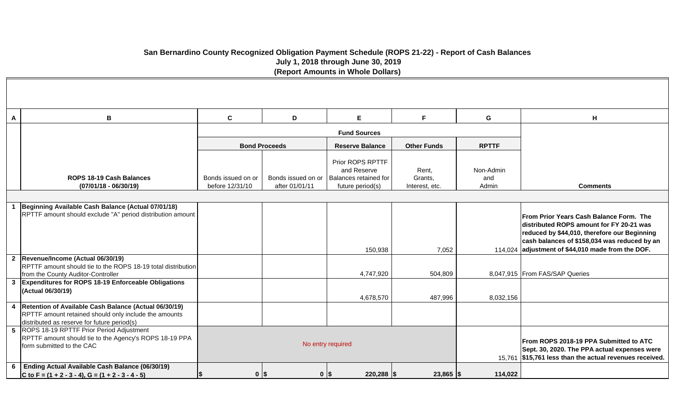# **San Bernardino County Recognized Obligation Payment Schedule (ROPS 21-22) - Report of Cash Balances July 1, 2018 through June 30, 2019 (Report Amounts in Whole Dollars)**

| A | B                                                                                                                                                             | $\mathbf c$                           | D                                    | E                                                                            | F                                  | G                         | H                                                                                                                                                                                                                                        |
|---|---------------------------------------------------------------------------------------------------------------------------------------------------------------|---------------------------------------|--------------------------------------|------------------------------------------------------------------------------|------------------------------------|---------------------------|------------------------------------------------------------------------------------------------------------------------------------------------------------------------------------------------------------------------------------------|
|   |                                                                                                                                                               |                                       |                                      | <b>Fund Sources</b>                                                          |                                    |                           |                                                                                                                                                                                                                                          |
|   |                                                                                                                                                               |                                       | <b>Bond Proceeds</b>                 | <b>Reserve Balance</b>                                                       | <b>Other Funds</b>                 | <b>RPTTF</b>              |                                                                                                                                                                                                                                          |
|   | ROPS 18-19 Cash Balances<br>$(07/01/18 - 06/30/19)$                                                                                                           | Bonds issued on or<br>before 12/31/10 | Bonds issued on or<br>after 01/01/11 | Prior ROPS RPTTF<br>and Reserve<br>Balances retained for<br>future period(s) | Rent,<br>Grants,<br>Interest, etc. | Non-Admin<br>and<br>Admin | <b>Comments</b>                                                                                                                                                                                                                          |
|   |                                                                                                                                                               |                                       |                                      |                                                                              |                                    |                           |                                                                                                                                                                                                                                          |
|   | Beginning Available Cash Balance (Actual 07/01/18)<br>RPTTF amount should exclude "A" period distribution amount                                              |                                       |                                      |                                                                              |                                    |                           | From Prior Years Cash Balance Form. The<br>distributed ROPS amount for FY 20-21 was<br>reduced by \$44,010, therefore our Beginning<br>cash balances of \$158,034 was reduced by an<br>114,024 adjustment of \$44,010 made from the DOF. |
|   | 2 Revenue/Income (Actual 06/30/19)<br>RPTTF amount should tie to the ROPS 18-19 total distribution<br>from the County Auditor-Controller                      |                                       |                                      | 150,938<br>4,747,920                                                         | 7,052<br>504,809                   |                           | 8,047,915 From FAS/SAP Queries                                                                                                                                                                                                           |
|   | 3 Expenditures for ROPS 18-19 Enforceable Obligations<br>(Actual 06/30/19)                                                                                    |                                       |                                      | 4,678,570                                                                    | 487,996                            | 8,032,156                 |                                                                                                                                                                                                                                          |
| 4 | Retention of Available Cash Balance (Actual 06/30/19)<br>RPTTF amount retained should only include the amounts<br>distributed as reserve for future period(s) |                                       |                                      |                                                                              |                                    |                           |                                                                                                                                                                                                                                          |
|   | 5 ROPS 18-19 RPTTF Prior Period Adjustment<br>RPTTF amount should tie to the Agency's ROPS 18-19 PPA<br>form submitted to the CAC                             |                                       |                                      | No entry required                                                            |                                    |                           | From ROPS 2018-19 PPA Submitted to ATC<br>Sept. 30, 2020. The PPA actual expenses were<br>15,761 \$15,761 less than the actual revenues received.                                                                                        |
| 6 | Ending Actual Available Cash Balance (06/30/19)<br>C to F = $(1 + 2 - 3 - 4)$ , G = $(1 + 2 - 3 - 4 - 5)$                                                     | $\mathbf 0$                           | I\$<br>$0$   \$                      | $220,288$ \\$                                                                | $23,865$ $\sqrt{$}$                | 114,022                   |                                                                                                                                                                                                                                          |